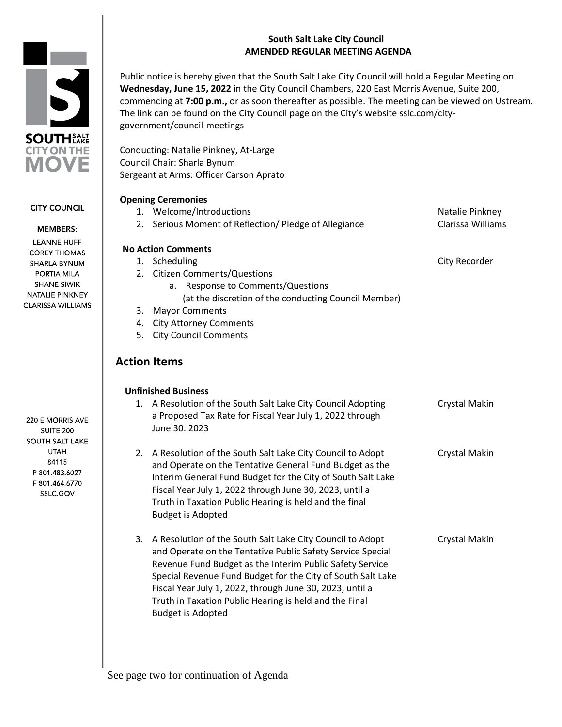# **South Salt Lake City Council AMENDED REGULAR MEETING AGENDA**



**CITY COUNCIL** 

## **MEMBERS:**

LEANNE HUFF **COREY THOMAS** SHARLA BYNUM PORTIA MILA **SHANE SIWIK** NATALIE PINKNEY **CLARISSA WILLIAMS** 

220 E MORRIS AVE **SUITE 200** SOUTH SALT LAKE **UTAH** 84115 P 801.483.6027 F 801.464.6770 SSLC.GOV

Public notice is hereby given that the South Salt Lake City Council will hold a Regular Meeting on **Wednesday, June 15, 2022** in the City Council Chambers, 220 East Morris Avenue, Suite 200, commencing at **7:00 p.m.,** or as soon thereafter as possible. The meeting can be viewed on Ustream. The link can be found on the City Council page on the City's website sslc.com/citygovernment/council-meetings

Conducting: Natalie Pinkney, At-Large Council Chair: Sharla Bynum Sergeant at Arms: Officer Carson Aprato

# **Opening Ceremonies**

|    | 1. Welcome/Introductions                                     | Natalie Pinkney      |
|----|--------------------------------------------------------------|----------------------|
|    | 2. Serious Moment of Reflection/ Pledge of Allegiance        | Clarissa Williams    |
|    | <b>No Action Comments</b>                                    |                      |
|    | 1. Scheduling                                                | City Recorder        |
|    | 2. Citizen Comments/Questions                                |                      |
|    | a. Response to Comments/Questions                            |                      |
|    | (at the discretion of the conducting Council Member)         |                      |
| 3. | <b>Mayor Comments</b>                                        |                      |
| 4. | <b>City Attorney Comments</b>                                |                      |
| 5. | <b>City Council Comments</b>                                 |                      |
|    | <b>Action Items</b>                                          |                      |
|    | <b>Unfinished Business</b>                                   |                      |
|    | 1. A Resolution of the South Salt Lake City Council Adopting | <b>Crystal Makin</b> |
|    | a Proposed Tax Rate for Fiscal Year July 1, 2022 through     |                      |
|    | June 30. 2023                                                |                      |
|    | 2. A Resolution of the South Salt Lake City Council to Adopt | <b>Crystal Makin</b> |
|    | and Operate on the Tentative General Fund Budget as the      |                      |
|    | Interim General Fund Budget for the City of South Salt Lake  |                      |
|    | Fiscal Year July 1, 2022 through June 30, 2023, until a      |                      |
|    | Truth in Taxation Public Hearing is held and the final       |                      |
|    | <b>Budget is Adopted</b>                                     |                      |
| 3. | A Resolution of the South Salt Lake City Council to Adopt    | Crystal Makin        |
|    | and Operate on the Tentative Public Safety Service Special   |                      |
|    | Revenue Fund Budget as the Interim Public Safety Service     |                      |
|    | Special Revenue Fund Budget for the City of South Salt Lake  |                      |
|    | Fiscal Year July 1, 2022, through June 30, 2023, until a     |                      |
|    | Truth in Taxation Public Hearing is held and the Final       |                      |
|    | <b>Budget is Adopted</b>                                     |                      |
|    |                                                              |                      |

See page two for continuation of Agenda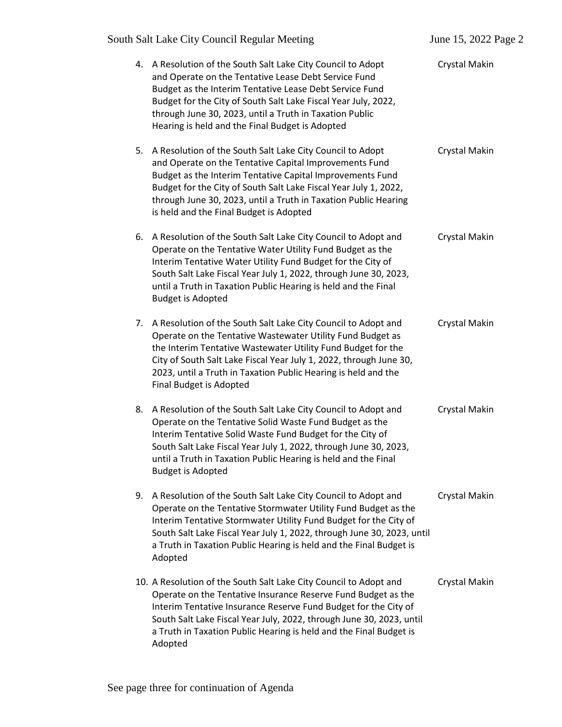|    | South Salt Lake City Council Regular Meeting                                                                                                                                                                                                                                                                                                                          | June 15, 2022 Page 2 |
|----|-----------------------------------------------------------------------------------------------------------------------------------------------------------------------------------------------------------------------------------------------------------------------------------------------------------------------------------------------------------------------|----------------------|
|    | 4. A Resolution of the South Salt Lake City Council to Adopt<br>and Operate on the Tentative Lease Debt Service Fund<br>Budget as the Interim Tentative Lease Debt Service Fund<br>Budget for the City of South Salt Lake Fiscal Year July, 2022,<br>through June 30, 2023, until a Truth in Taxation Public<br>Hearing is held and the Final Budget is Adopted       | Crystal Makin        |
|    | 5. A Resolution of the South Salt Lake City Council to Adopt<br>and Operate on the Tentative Capital Improvements Fund<br>Budget as the Interim Tentative Capital Improvements Fund<br>Budget for the City of South Salt Lake Fiscal Year July 1, 2022,<br>through June 30, 2023, until a Truth in Taxation Public Hearing<br>is held and the Final Budget is Adopted | Crystal Makin        |
|    | 6. A Resolution of the South Salt Lake City Council to Adopt and<br>Operate on the Tentative Water Utility Fund Budget as the<br>Interim Tentative Water Utility Fund Budget for the City of<br>South Salt Lake Fiscal Year July 1, 2022, through June 30, 2023,<br>until a Truth in Taxation Public Hearing is held and the Final<br><b>Budget is Adopted</b>        | Crystal Makin        |
| 7. | A Resolution of the South Salt Lake City Council to Adopt and<br>Operate on the Tentative Wastewater Utility Fund Budget as<br>the Interim Tentative Wastewater Utility Fund Budget for the<br>City of South Salt Lake Fiscal Year July 1, 2022, through June 30,<br>2023, until a Truth in Taxation Public Hearing is held and the<br>Final Budget is Adopted        | Crystal Makin        |
| 8. | A Resolution of the South Salt Lake City Council to Adopt and<br>Operate on the Tentative Solid Waste Fund Budget as the<br>Interim Tentative Solid Waste Fund Budget for the City of<br>South Salt Lake Fiscal Year July 1, 2022, through June 30, 2023,<br>until a Truth in Taxation Public Hearing is held and the Final<br><b>Budget is Adopted</b>               | Crystal Makin        |
| 9. | A Resolution of the South Salt Lake City Council to Adopt and<br>Operate on the Tentative Stormwater Utility Fund Budget as the<br>Interim Tentative Stormwater Utility Fund Budget for the City of<br>South Salt Lake Fiscal Year July 1, 2022, through June 30, 2023, until<br>a Truth in Taxation Public Hearing is held and the Final Budget is<br>Adopted        | Crystal Makin        |
|    | 10. A Resolution of the South Salt Lake City Council to Adopt and<br>Operate on the Tentative Insurance Reserve Fund Budget as the<br>Interim Tentative Insurance Reserve Fund Budget for the City of<br>South Salt Lake Fiscal Year July, 2022, through June 30, 2023, until<br>a Truth in Taxation Public Hearing is held and the Final Budget is<br>Adopted        | Crystal Makin        |